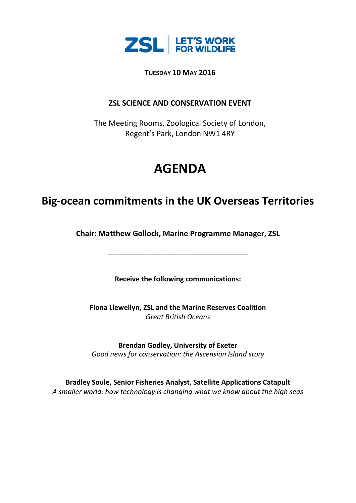

**TUESDAY 10 MAY 2016**

### **ZSL SCIENCE AND CONSERVATION EVENT**

The Meeting Rooms, Zoological Society of London, Regent's Park, London NW1 4RY

# **AGENDA**

## **Big-ocean commitments in the UK Overseas Territories**

**Chair: Matthew Gollock, Marine Programme Manager, ZSL**

\_\_\_\_\_\_\_\_\_\_\_\_\_\_\_\_\_\_\_\_\_\_\_\_\_\_\_\_\_\_\_\_\_\_\_\_\_\_\_

**Receive the following communications:**

**Fiona Llewellyn, ZSL and the Marine Reserves Coalition** *Great British Oceans*

**Brendan Godley, University of Exeter** *Good news for conservation: the Ascension Island story*

**Bradley Soule, Senior Fisheries Analyst, Satellite Applications Catapult** *A smaller world: how technology is changing what we know about the high seas*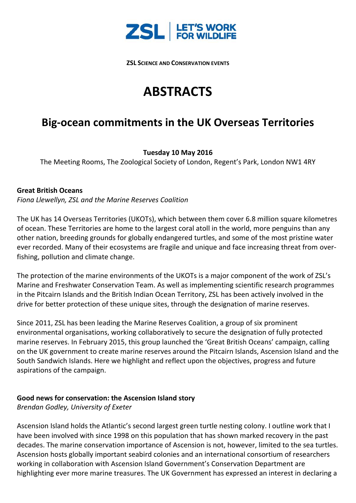

**ZSL SCIENCE AND CONSERVATION EVENTS**

## **ABSTRACTS**

## **Big-ocean commitments in the UK Overseas Territories**

### **Tuesday 10 May 2016**

The Meeting Rooms, The Zoological Society of London, Regent's Park, London NW1 4RY

#### **Great British Oceans**

*Fiona Llewellyn, ZSL and the Marine Reserves Coalition*

The UK has 14 Overseas Territories (UKOTs), which between them cover 6.8 million square kilometres of ocean. These Territories are home to the largest coral atoll in the world, more penguins than any other nation, breeding grounds for globally endangered turtles, and some of the most pristine water ever recorded. Many of their ecosystems are fragile and unique and face increasing threat from overfishing, pollution and climate change.

The protection of the marine environments of the UKOTs is a major component of the work of ZSL's Marine and Freshwater Conservation Team. As well as implementing scientific research programmes in the Pitcairn Islands and the British Indian Ocean Territory, ZSL has been actively involved in the drive for better protection of these unique sites, through the designation of marine reserves.

Since 2011, ZSL has been leading the Marine Reserves Coalition, a group of six prominent environmental organisations, working collaboratively to secure the designation of fully protected marine reserves. In February 2015, this group launched the 'Great British Oceans' campaign, calling on the UK government to create marine reserves around the Pitcairn Islands, Ascension Island and the South Sandwich Islands. Here we highlight and reflect upon the objectives, progress and future aspirations of the campaign.

#### **Good news for conservation: the Ascension Island story**

*Brendan Godley, University of Exeter*

Ascension Island holds the Atlantic's second largest green turtle nesting colony. I outline work that I have been involved with since 1998 on this population that has shown marked recovery in the past decades. The marine conservation importance of Ascension is not, however, limited to the sea turtles. Ascension hosts globally important seabird colonies and an international consortium of researchers working in collaboration with Ascension Island Government's Conservation Department are highlighting ever more marine treasures. The UK Government has expressed an interest in declaring a